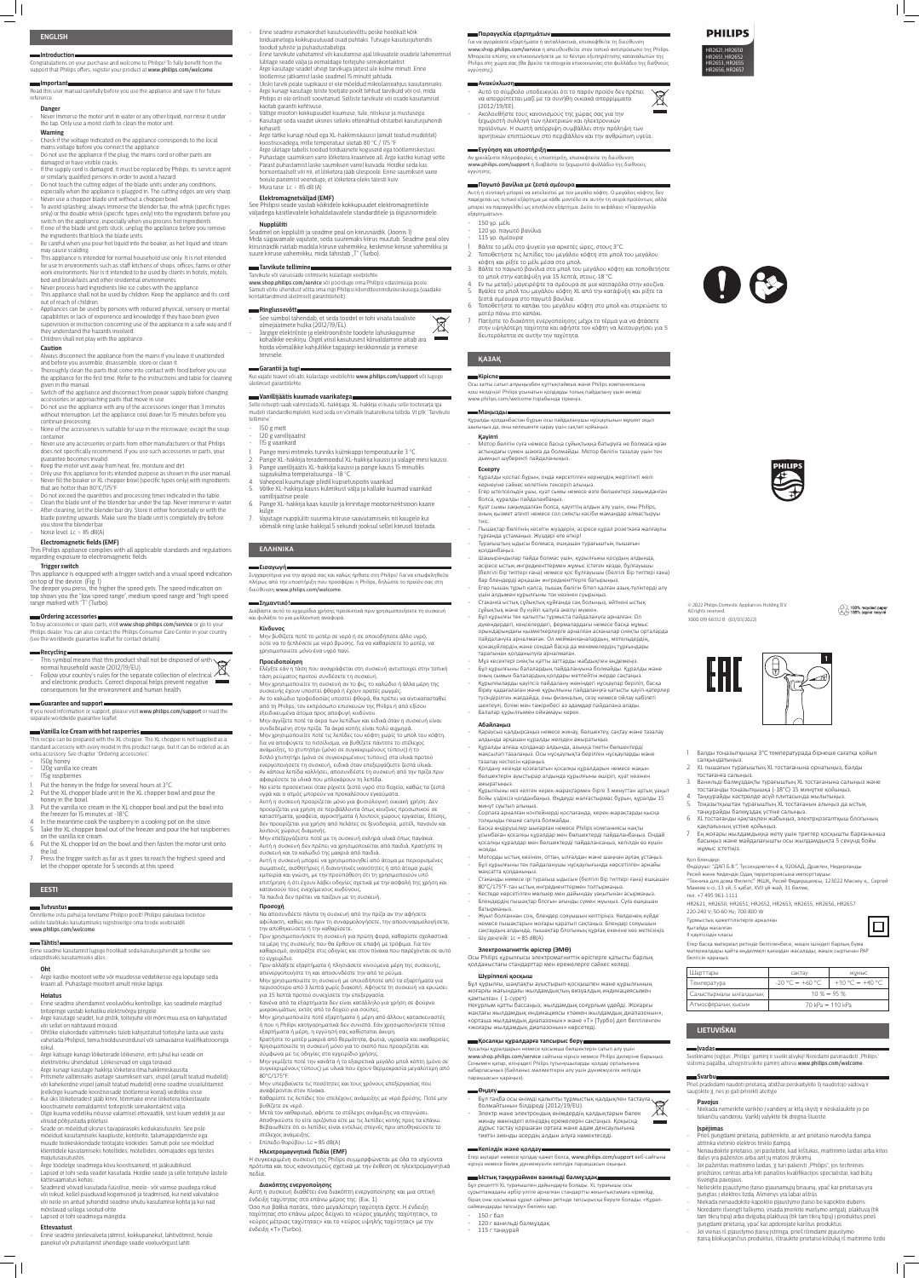### **ENGLISH**

Congratulations on your purchase and welcome to Philips! To fully benefit from the support that Philips offers, register your product at www.philips.com/welcome

**Introduction**

### **Important**

Read this user manual carefully before you use the appliance and save it for future reference.

### **Danger**

- Always disconnect the appliance from the mains if you leave it unattended and before you assemble, disassemble, store or clean it.
- Thoroughly clean the parts that come into contact with food before you use the appliance for the first time. Refer to the instructions and table for cleaning given in the manual.
- Switch off the appliance and disconnect from power supply before changing accessories or approaching parts that move in use.
- Do not use the appliance with any of the accessories longer than 3 minutes without interruption. Let the appliance cool down for 15 minutes before you continue processing.
- None of the accessories is suitable for use in the microwave, except the soup container.
- Never use any accessories or parts from other manufacturers or that Philips does not specifically recommend. If you use such accessories or parts, your guarantee becomes invalid.
- Keep the motor unit away from heat, fire, moisture and dirt.
- Only use this appliance for its intended purpose as shown in the user manual.
- Never fill the beaker or XL chopper bowl (specific types only) with ingredients that are hotter than 80°C/175°F.
- Do not exceed the quantities and processing times indicated in the table.
- Clean the blade unit of the blender bar under the tap. Never immerse in water. - After cleaning, let the blender bar dry. Store it either horizontally or with the blade pointing upwards. Make sure the blade unit is completely dry before
- you store the blender bar.
- Noise level: Lc = 85 dB(A)
- Never immerse the motor unit in water or any other liquid, nor rinse it under the tap. Only use a moist cloth to clean the motor unit.
- **Warning** - Check if the voltage indicated on the appliance corresponds to the local
- mains voltage before you connect the appliance. - Do not use the appliance if the plug, the mains cord or other parts are
- damaged or have visible cracks. - If the supply cord is damaged, it must be replaced by Philips, its service agent
- or similarly qualified persons in order to avoid a hazard. - Do not touch the cutting edges of the blade units under any conditions,
- especially when the appliance is plugged in. The cutting edges are very sharp.
- Never use a chopper blade unit without a chopper bowl.
- To avoid splashing, always immerse the blender bar, the whisk (specific types only) or the double whisk (specific types only) into the ingredients before you switch on the appliance, especially when you process hot ingredients.
- If one of the blade unit gets stuck, unplug the appliance before you remove the ingredients that block the blade units.
- Be careful when you pour hot liquid into the beaker, as hot liquid and steam may cause scalding.
- This appliance is intended for normal household use only. It is not intended for use in environments such as staff kitchens of shops, offices, farms or other work environments. Nor is it intended to be used by clients in hotels, motels, bed and breakfasts and other residential environments.
- Never process hard ingredients like ice cubes with the appliance. This appliance shall not be used by children. Keep the appliance and its cord out of reach of children.
- Appliances can be used by persons with reduced physical, sensory or mental capabilities or lack of experience and knowledge if they have been given supervision or instruction concerning use of the appliance in a safe way and if they understand the hazards involved.
- Children shall not play with the appliance.

### **Caution**

Follow your country's rules for the separate collection of electrical  $\mathbb{X}$ and electronic products. Correct disposal helps prevent negative consequences for the environment and human health.

If you need information or support, please visit www.philips.com/support or read the separate worldwide guarantee leaflet.

- 120g vanilla ice cream
- 115g raspberries
- Put the honey in the fridge for several hours at 3°C.
- 2. Put the XL chopper blade unit in the XL chopper bowl and pour the honey in the bowl.
- 3. Put the vanilla ice cream in the XL chopper bowl and put the bowl into the freezer for 15 minutes at -18°C.
- 4. In the meantime cook the raspberry in a cooking pot on the stove. Take the XL chopper bowl out of the freezer and pour the hot raspberries on the vanilla ice cream.
- 6. Put the XL chopper lid on the bowl and then fasten the motor unit onto the lid.
- 7. Press the trigger switch as far as it goes to reach the highest speed and let the chopper operate for 5 seconds at this speed.

### **Electromagnetic fields (EMF)**

This Philips appliance complies with all applicable standards and regulations regarding exposure to electromagnetic fields.

# **Trigger switch**

This appliance is equipped with a trigger switch and a visual speed indication on top of the device. (Fig. 1) The deeper you press, the higher the speed gets. The speed indication on

- Enne seadme esmakordset kasutuselevõttu peske hoolikalt kõik toiduainetega kokkupuutuvad osad puhtaks. Tutvuge kasutusjuhendis toodud juhiste ja puhastustabeliga.
- Enne tarvikute vahetamist või kasutamise ajal liikuvatele osadele lähenemisel lülitage seade välja ja eemaldage toitejuhe seinakontaktist.
- Ärge kasutage seadet ühegi tarvikuga järjest üle kolme minuti. Enne töötlemise jätkamist laske seadmel 15 minutit jahtuda.
- Ükski tarvik peale supikausi ei ole mõeldud mikrolaineahjus kasutamiseks. - Ärge kunagi kasutage teiste tootjate poolt tehtud tarvikuid või osi, mida Philips ei ole eriliselt soovitanud. Selliste tarvikute või osade kasutamisel
- kaotab garantii kehtivuse. - Vältige mootori kokkupuudet kuumuse, tule, niiskuse ja mustusega. - Kasutage seda seadet üksnes selleks ettenähtud otstarbel kasutusjuhendi
- kohaselt. - Ärge täitke kunagi nõud ega XL-hakkimiskaussi (ainult teatud mudelitel)
- koostisosadega, mille temperatuur ületab 80 °C / 175 °F. - Ärge ületage tabelis toodud toiduainete koguseid ega töötlemiskestusi.
- Puhastage saumikseri varre lõiketera kraanivee all. Ärge kastke kunagi vette.
- Pärast puhastamist laske saumikseri varrel kuivada. Hoidke seda kas horisontaalselt või nii, et lõiketera jääb ülespoole. Enne saumikseri varre hoiule panemist veenduge, et lõiketera oleks täiesti kuiv.
- Müra tase: Lc = 85 dB (A)

top shows you the "low speed range", medium speed range and "high speed range marked with "T" (Turbo).

### **Ordering accessories**

To buy accessories or spare parts, visit www.shop.philips.com/service or go to your Philips dealer. You can also contact the Philips Consumer Care Center in your country (see the worldwide guarantee leaflet for contact details).

**Recycling** This symbol means that this product shall not be disposed of with

normal household waste (2012/19/EU).

#### **Guarantee and support**

Seadmel on kipplüliti ja seadme peal on kiirusnäidik. (Joonis 1) Mida sügavamale vajutate, seda suuremaks kiirus muutub. Seadme peal olev kiirusnäidik näitab madala kiiruse vahemikku, keskmise kiiruse vahemikku ja suure kiiruse vahemikku, mida tähistab "T" (Turbo).

#### **Vanilla Ice Cream with hot rasperries**

This recipe can be prepared with the XL chopper. The XL chopper is not supplied as a standard accessory with every model in this product range, but it can be ordered as an extra accessory. See chapter "Ordering accessories".

- 150g honey

Selle retsepti saab valmistada XL-hakkijaga. XL-hakkija ei kuulu selle tootesarja iga mudeli standardkomplekti, kuid seda on võimalik lisatarvikuna tellida. Vt ptk "Tarvikute tellimine

### **EESTI**

**Tutvustus** Õnnitleme ostu puhul ja tervitame Philipsi poolt! Philipsi pakutava tootetoe eeliste täielikuks kasutamiseks registreerige oma toode veebisaidil www.philips.com/welcome.

#### **Tähtis!**

Enne seadme kasutamist lugege hoolikalt seda kasutusjuhendit ja hoidke see edaspidiseks kasutamiseks alles.

#### **Oht**

- Ärge kastke mootorit vette või muudesse vedelikesse ega loputage seda kraani all. Puhastage mootorit ainult niiske lapiga.

#### **Hoiatus**

- Enne seadme ühendamist vooluvõrku kontrollige, kas seadmele märgitud toitepinge vastab kohaliku elektrivõrgu pingele.
- Ärge kasutage seadet, kui pistik, toitejuhe või mõni muu osa on kahjustatud või sellel on nähtavaid mõrasid.
- Ohtlike olukordade vältimiseks tuleb kahjustatud toitejuhe lasta uue vastu vahetada Philipsil, tema hooldusesindusel või samaväärse kvalifikatsiooniga isikul.
- Ärge katsuge kunagi lõiketerade lõikeservi, eriti juhul kui seade on elektrivõrku ühendatud. Lõikeservad on väga teravad.
- Ärge kunagi kasutage hakkija lõiketera ilma hakkimiskausita.
- Pritsmete vältimiseks asetage saumikseri vars, vispel (ainult teatud mudelid) või kahekordne vispel (ainult teatud mudelid) enne seadme sisselülitamist (eelkõige kuumade koostisosade töötlemise korral) vedeliku sisse.
- Kui üks lõiketeradest jääb kinni, tõmmake enne lõiketera tõkestavate koostisainete eemaldamist toitepistik seinakontaktist välja.
- Olge kuuma vedeliku nõusse valamisel ettevaatlik, sest kuum vedelik ja aur võivad põhjustada põletusi.
- Seade on mõeldud üksnes tavapäraseks kodukasutuseks. See pole mõeldud kasutamiseks kaupluste, kontorite, talumajapidamiste ega muude töökeskkondade töötajate köökides. Samuti pole see mõeldud klientidele kasutamiseks hotellides, motellides, öömajades ega teistes majutusasutustes.
- Ärge töödelge seadmega kõvu koostisaineid, nt jääkuubikuid.
- Lapsed ei tohi seda seadet kasutada. Hoidke seade ja selle toitejuhe lastele kättesaamatus kohas.
- Seadmeid võivad kasutada füüsilise, meele- või vaimse puudega isikud või isikud, kellel puuduvad kogemused ja teadmised, kui neid valvatakse või neile on antud juhendid seadme ohutu kasutamise kohta ja kui nad mõistavad sellega seotud ohte.
- Lapsed ei tohi seadmega mängida.

### **Ettevaatust**

- Enne seadme järelevalveta jätmist, kokkupanekut, lahtivõtmist, hoiule panekut või puhastamist ühendage seade vooluvõrgust lahti.

### **Elektromagnetväljad (EMF)**

See Philipsi seade vastab kõikidele kokkupuudet elektromagnetiliste väljadega käsitlevatele kohaldatavatele standarditele ja õigusnormidele.

#### **Nupplüliti**

## **Tarvikute tellimine**

Мұз кесектері сияқты қатты заттарды жаб - Бұл құрылғыны балалардың пайдалануына болмайды. Құралды және

Tarvikute või varuosade ostmiseks külastage veebilehte www.shop.philips.com/service või pöörduge oma Philipsi edasimüüja poole. Samuti võite ühendust võtta oma riigi Philipsi klienditeeninduskeskusega (vaadake kontaktandmeid üleilmselt garantiilehelt).

#### **Ringlussevõtt**

- See sümbol tähendab, et seda toodet ei tohi visata tavaliste olmejäätmete hulka (2012/19/EL).
- Järgige elektriliste ja elektrooniliste toodete lahuskogumise **Contract Contract** kohalikke eeskirju. Õigel viisil kasutusest kõrvaldamine aitab ära hoida võimalikke kahjulikke tagajärgi keskkonnale ja inimese tervisele.

#### **Garantii ja tugi**

Kui vajate teavet või abi, külastage veebilehte www.philips.com/support või lugege üleilmset garantiilehte.

#### **Vanillijäätis kuumade vaarikatega**

- 150 g mett
- 120 g vanillijäätist - 115 g vaarikaid
- 
- 1. Pange mesi mitmeks tunniks külmkappi temperatuurile 3 °C.
- 2. Pange XL-hakkija terademoodul XL-hakkija kaussi ja valage mesi kaussi. 3. Pange vanillijäätis XL-hakkija kaussi ja pange kauss 15 minutiks
- sügavkülma temperatuuriga –18 °C. 4. Vahepeal kuumutage pliidil küpsetuspotis vaarikad.
- 5. Võtke XL-hakkija kauss külmikust välja ja kallake kuumad vaarikad vanillijäätise peale.
- 6. Pange XL-hakkija kaas kausile ja kinnitage mootorisektsioon kaane külge.
- 7. Vajutage nupplüliti suurima kiiruse saavutamiseks nii kaugele kui võimalik ning laske hakkijal 5 sekundi jooksul sellel kiirusel töötada.

# **ΕΛΛΗΝΙΚΆ**

# **Εισανωνή∎**

Συγχαρητήρια για την αγορά σας και καλώς ήρθατε στη Philips! Για να επωφεληθείτε πλήρως από την υποστήριξη που προσφέρει η Philips, δηλώστε το προϊόν σας στη διεύθυνση www.philips.com/welcome.

### **\_\_\_**Σημαντικό!

Διαβάστε αυτό το εγχειρίδιο χρήσης προσεκτικά πριν χρησιμοποιήσετε τη συσκευή και φυλάξτε το για μελλοντική αναφορά.

### **Κίνδυνος**

- Μην βυθίζετε ποτέ το μοτέρ σε νερό ή σε οποιοδήποτε άλλο υγρό, ούτε να το ξεπλένετε με νερό βρύσης. Για να καθαρίσετε το μοτέρ, να χρησιμοποιείτε μόνο ένα υγρό πανί.

> Sveikiname įsigijus "Philips" gaminį ir sveiki atvykę! Norėdami pasinaudoti "Philips" siūloma pagalba, užregistruokite gaminį adresu www.philips.com/welcome.

Jei pažeistas maitinimo laidas, jį turi pakeisti "Philips", jos techninės priežiūros centras arba kiti panašios kvalifikacijos specialistai, kad būtų

- **Προειδοποίηση**
- Ελέγξτε εάν η τάση που αναγράφεται στη συσκευή αντιστοιχεί στην τοπική τάση ρεύματος προτού συνδέσετε τη συσκευή.
- Μην χρησιμοποιείτε τη συσκευή αν το φις, το καλώδιο ή άλλα μέρη της συσκευής έχουν υποστεί φθορά ή έχουν ορατές ρωγμές. - Αν το καλώδιο τροφοδοσίας υποστεί φθορά, θα πρέπει να αντικατασταθεί
- από τη Philips, τον εκπρόσωπο επισκευών της Philips ή από εξίσου εξειδικευμένα άτομα προς αποφυγή κινδύνου.
- Μην αγγίζετε ποτέ τα άκρα των λεπίδων και ειδικά όταν η συσκευή είναι συνδεδεμένη στην πρίζα. Τα άκρα κοπής είναι πολύ αιχμηρά.
- Μην χρησιμοποιείτε ποτέ τις λεπίδες του κόφτη χωρίς το μπολ του κόφτη. - Για να αποφύγετε το πιτσίλισμα, να βυθίζετε πάντοτε το στέλεχος ανάμειξης, το χτυπητήρι (μόνο σε συγκεκριμένους τύπους) ή το διπλό χτυπητήρι (μόνο σε συγκεκριμένους τύπους) στα υλικά προτού
- ενεργοποιήσετε τη συσκευή, ειδικά όταν επεξεργάζεστε ζεστά υλικά. - Αν κάποια λεπίδα κολλήσει, αποσυνδέστε τη συσκευή από την πρίζα πριν
- αφαιρέσετε τα υλικά που μπλοκάρουν τη λεπίδα. - Να είστε προσεκτικοί όταν ρίχνετε ζεστό υγρό στο δοχείο, καθώς τα ζεστά
- υγρά και ο ατμός μπορούν να προκαλέσουν εγκαύματα. - Αυτή η συσκευή προορίζεται μόνο για φυσιολογική οικιακή χρήση. Δεν προορίζεται για χρήση σε περιβάλλοντα όπως κουζίνες προσωπικού σε καταστήματα, γραφεία, αγροκτήματα ή λοιπούς χώρους εργασίας. Επίσης, δεν προορίζεται για χρήση από πελάτες σε ξενοδοχεία, μοτέλ, πανσιόν και λοιπούς χώρους διαμονής.
- Μην επεξεργάζεστε ποτέ με τη συσκευή σκληρά υλικά όπως παγάκια.
- Αυτή η συσκευή δεν πρέπει να χρησιμοποιείται από παιδιά. Κρατήστε τη συσκευή και το καλώδιό της μακριά από παιδιά.
- Αυτή η συσκευή μπορεί να χρησιμοποιηθεί από άτομα με περιορισμένες σωματικές, αισθητήριες ή διανοητικές ικανότητες ή από άτομα χωρίς εμπειρία και γνώση, με την προϋπόθεση ότι τη χρησιμοποιούν υπό επιτήρηση ή ότι έχουν λάβει οδηγίες σχετικά με την ασφαλή της χρήση και κατανοούν τους ενεχόμενους κινδύνους.
- Τα παιδιά δεν πρέπει να παίζουν με τη συσκευή.

### **Προσοχή**

- Να αποσυνδέετε πάντα τη συσκευή από την πρίζα αν την αφήσετε αφύλακτη, καθώς και πριν τη συναρμολογήσετε, την αποσυναρμολογήσετε, την αποθηκεύσετε ή την καθαρίσετε.
- Πριν χρησιμοποιήσετε τη συσκευή για πρώτη φορά, καθαρίστε σχολαστικά τα μέρη της συσκευής που θα έρθουν σε επαφή με τρόφιμα. Για τον καθαρισμό, ανατρέξτε στις οδηγίες και στον πίνακα που παρέχονται σε αυτό το εγχειρίδιο.
- Πριν αλλάξετε εξαρτήματα ή πλησιάσετε κινούμενα μέρη της συσκευής, απενεργοποιήστε τη και αποσυνδέστε την από το ρεύμα.
- Μην χρησιμοποιείτε τη συσκευή με οποιοδήποτε από τα εξαρτήματα για περισσότερο από 3 λεπτά χωρίς διακοπή. Αφήνετε τη συσκευή να κρυώσει για 15 λεπτά προτού συνεχίσετε την επεξεργασία.
- Κανένα από τα εξαρτήματα δεν είναι κατάλληλο για χρήση σε φούρνο μικροκυμάτων, εκτός από το δοχείο για σούπες.
- Μην χρησιμοποιείτε ποτέ εξαρτήματα ή μέρη από άλλους κατασκευαστές ή που η Philips κατηγορηματικά δεν συνιστά. Εάν χρησιμοποιήσετε τέτοια εξαρτήματα ή μέρη, η εγγύησή σας καθίσταται άκυρη.
- Κρατήστε το μοτέρ μακριά από θερμότητα, φωτιά, υγρασία και ακαθαρσίες.
- Χρησιμοποιείτε τη συσκευή μόνο για το σκοπό που προορίζεται και σύμφωνα με τις οδηγίες στο εγχειρίδιο χρήσης.
- Μην γεμίζετε ποτέ την κανάτα ή το εξαιρετικά μεγάλο μπολ κόπτη (μόνο σε συγκεκριμένους τύπους) με υλικά που έχουν θερμοκρασία μεγαλύτερη από 80°C/175°F.
- Μην υπερβαίνετε τις ποσότητες και τους χρόνους επεξεργασίας που αναφέρονται στον πίνακα.
- Καθαρίστε τις λεπίδες του στελέχους ανάμειξης με νερό βρύσης. Ποτέ μην βυθίζετε σε νερό.
- Μετά τον καθαρισμό, αφήστε το στέλεχος ανάμειξης να στεγνώσει. Αποθηκεύστε το είτε οριζόντια είτε με τις λεπίδες κοπής προς τα επάνω. Βεβαιωθείτε ότι οι λεπίδες είναι εντελώς στεγνές πριν αποθηκεύσετε το στέλεχος ανάμειξης.
- Επίπεδο θορύβου: Lc = 85 dB(A)

# **Ηλεκτρομαγνητικά Πεδία (EMF)**

Η συγκεκριμένη συσκευή της Philips συμμορφώνεται με όλα τα ισχύοντα πρότυπα και τους κανονισμούς σχετικά με την έκθεση σε ηλεκτρομαγνητικά πεδία.

#### **Διακόπτης ενεργοποίησης**

Αυτή η συσκευή διαθέτει ένα διακόπτη ενεργοποίησης και μια οπτική ένδειξη ταχύτητας στο επάνω μέρος της. (Εικ. 1) Όσο πιο βαθιά πατάτε, τόσο μεγαλύτερη ταχύτητα έχετε. Η ένδειξη ταχύτητας στο επάνω μέρος δείχνει το «εύρος χαμηλής ταχύτητας», το «εύρος μέτριας ταχύτητας» και το «εύρος υψηλής ταχύτητας» με την ένδειξη «Τ» (Turbo).

### **Παραγγελία εξαρτημάτων**

Για να αγοράσετε εξαρτήματα ή ανταλλακτικά, επισκεφθείτε τη διεύθυνση www.shop.philips.com/service ή απευθυνθείτε στον τοπικό αντιπρόσωπο της Philips. Μπορείτε επίσης να επικοινωνήσετε με το Κέντρο εξυπηρέτησης καταναλωτών της Philips στη χώρα σας (θα βρείτε τα στοιχεία επικοινωνίας στο φυλλάδιο της διεθνούς εγγύησης).

### **Ανακύκλωση**

- Αυτό το σύμβολο υποδεικνύει ότι το παρόν προϊόν δεν πρέπει  $\widehat{\boxtimes}$ να απορρίπτεται μαζί με τα συνήθη οικιακά απορρίμματα (2012/19/ΕΕ).
- Ακολουθήστε τους κανονισμούς της χώρας σας για την ξεχωριστή συλλογή των ηλεκτρικών και ηλεκτρονικών προϊόντων. Η σωστή απόρριψη συμβάλλει στην πρόληψη των αρνητικών επιπτώσεων στο περιβάλλον και την ανθρώπινη υγεία.

#### **Εγγύηση και υποστήριξη**

Αν χρειάζεστε πληροφορίες ή υποστήριξη, επισκεφτείτε τη διεύθυνση www.philips.com/support ή διαβάστε το ξεχωριστό φυλλάδιο της διεθνούς εγγύησης.

### **Παγωτό βανίλια με ζεστά σμέουρα**

Αυτή η συνταγή μπορεί να εκτελεστεί με τον μεγάλο κόφτη. Ο μεγάλος κόφτης δεν παρέχεται ως τυπικό εξάρτημα με κάθε μοντέλο σε αυτήν τη σειρά προϊόντων, αλλά μπορεί να παραγγελθεί ως επιπλέον εξάρτημα. Δείτε το κεφάλαιο «Παραγγελία εξαρτημάτων».

- 150 γρ. μέλι
- 120 γρ. παγωτό βανίλια
- 115 γρ. σμέουρα
- 1. Βάλτε το μέλι στο ψυγείο για αρκετές ώρες, στους 3°C.
- 2. Τοποθετήστε τις λεπίδες του μεγάλου κόφτη στο μπολ του μεγάλου κόφτη και ρίξτε το μέλι μέσα στο μπολ.
- 3. Βάλτε το παγωτό βανίλια στο μπολ του μεγάλου κόφτη και τοποθετήστε το μπολ στην κατάψυξη για 15 λεπτά, στους -18 °C.
- 4. Εν τω μεταξύ μαγειρέψτε τα σμέουρα σε μια κατσαρόλα στην κουζίνα. 5. Βγάλτε το μπολ του μεγάλου κόφτη XL από την κατάψυξη και ρίξτε τα ζεστά σμέουρα στο παγωτό βανίλια.
- 6. Τοποθετήστε το καπάκι του μεγάλου κόφτη στο μπολ και στερεώστε το μοτέρ πάνω στο καπάκι.
- 7. Πατήστε το διακόπτη ενεργοποίησης μέχρι το τέρμα για να φτάσετε στην υψηλότερη ταχύτητα και αφήστε τον κόφτη να λειτουργήσει για 5 δευτερόλεπτα σε αυτήν την ταχύτητα.

## **ҚАЗАҚ**

# **Кіріспе**

Осы затты сатып алуыңызбен құттықтаймыз және Philips компаниясына қош келдіңіз! Philips ұсынатын қолдауды толық пайдалану үшін өнімді

www.philips.com/welcome торабында тіркеңіз.

**Маңызды**

Құралды қолданбастан бұрын осы пайдаланушы нұсқаулығын мұқият оқып

шығыңыз да, оны келешекте қарау үшін сақтап қойыңыз.

**Қауіпті**

- Мотор бөлігін суға немесе басқа сұйықтыққа батыруға не болмаса кран астындағы сумен шаюға да болмайды. Мотор бөлігін тазалау үшін тек

дымқыл шүберекті пайдаланыңыз.

**Ескерту**

- Құралды қоспас бұрын, онда көрсетілген кернеудің жергілікті желі

кернеуіне сәйкес келетінін тексеріп алыңыз.

- Егер штепсельдік ұшы, қуат сымы немесе өзге бөлшектері зақымданған

болса, құралды пайдаланбаңыз.

- Қуат сымы зақымдалған болса, қауіптің алдын алу үшін, оны Philips, оның қызмет агенті немесе сол сияқты кәсіби мамандар алмастыруы

тиіс.

- Пышақтар бөлігінің кесетін жүздерін, әсіресе құрал розеткаға жалғаулы

тұрғанда ұстамаңыз. Жүздері өте өткір!

- Турағыштың ыдысы болмаса, ешқашан турағыштың пышағын

қолданбаңыз.

- Шашырандылар пайда болмас үшін, құрылғыны қосудың алдында, әсіресе ыстық ингредиенттермен жұмыс істеген кезде, бұлғауышы (белгілі бір типтері ғана) немесе қос бұлғауышы (белгілі бір типтері ғана)

бар блендерді әрқашан ингредиенттерге батырыңыз.

- Егер пышақ тұрып қалса, пышақ бөлігін бітеп қалған азық-түліктерді алу

Стаканға ыстық сұйықтық құйғанда сақ болыңыз, өйткені ыстық

үшін алдымен құрылғыны ток көзінен суырыңыз.

сұйықтық және бу күйіп қалуға әкелуі мүмкін.

- Бұл құрылғы тек қалыпты тұрмыста пайдалануға арналған. Ол дүкендердегі, кеңселердегі, фермалардағы немесе басқа жұмыс орындарындағы қызметкерлерге арналған асханалар сияқты орталарда пайдалануға арналмаған. Ол мейманханалардың, мотельдердің, қонақүйлердің және сондай басқа да мекемелердің тұрғындары

тарапынан қолданылуға арналмаған.

оның сымын балалардың қолдары жетпейтін жерде сақтаңыз. - Құрылғыларды қауіпсіз пайдалану жөніндегі нұсқаулар беріліп, басқа біреу қадағалаған және құрылғыны пайдалануға қатысты қауіп-қатерлер түсіндірілген жағдайда, оны физикалық, сезу немесе ойлау қабілеті

шектеулі, білімі мен тәжірибесі аз адамдар пайдалана алады.

- Балалар құрылғымен ойнамауы керек.

### **Абайлаңыз**

- Қараусыз қалдырсаңыз немесе жинау, бөлшектеу, сақтау және тазалау алдында әрқашан құралды желіден ажыратыңыз.

- Құралды алғаш қолданар алдында, азыққа тиетін бөлшектерді жақсылап тазалаңыз. Осы нұсқаулықта берілген нұсқауларды және тазалау кестесін қараңыз.
- Қолдану кезінде қозғалатын қосалқы құралдарын немесе жақын бөлшектерін ауыстырар алдында құрылғыны өшіріп, қуат көзінен ажыратыңыз.
- Құрылғыны кез келген керек-жарақтармен бірге 3 минуттан артық уақыт бойы үздіксіз қолданбаңыз. Өңдеуді жалғастырмас бұрын, құралды 15 минут суытып алыңыз.
- Сорпаға арналған контейнерді қоспағанда, керек-жарақтарды қысқа толқынды пешке салуға болмайды. - Басқа өндірушілер шығарған немесе Philips компаниясы нақты
- ұсынбаған қосалқы құралдар мен бөлшектерді пайдаланбаңыз. Ондай қосалқы құралдар мен бөлшектерді пайдалансаңыз, кепілдік өз күшін жояды.
- Моторды ыстық көзінен, оттан, ылғалдан және шаңнан аулақ ұстаңыз. - Бұл құрылғыны тек пайдаланушы нұсқаулығында көрсетілген арнайы
- мақсатта қолданыңыз. - Стаканды немесе ірі турағыш ыдысын (белгілі бір типтері ғана) ешқашан
- 80°C/175°F-тан ыстық ингредиенттермен толтырмаңыз. - Кестеде көрсетілген мөлшер мен дайындау уақытынан асырмаңыз.
- Блендердің пышақтар блогын ағынды сумен жуыңыз. Суға ешқашан батырмаңыз.
- Жуып болғаннан соң, блендер сояуышын кептіріңіз. Көлденең күйде немесе пышақтарын жоғары қаратып сақтаңыз. Блендер сояуышын сақтаудың алдында, пышақтар блогының құрғақ екеніне көз жеткізіңіз.

### - Шу деңгейі: Lc = 85 dB(A)

### **Электромагниттік өрістер (ЭМӨ)**

Осы Philips құрылғысы электромагниттік өрістерге қатысты барлық қолданыстағы стандарттар мен ережелерге сәйкес келеді.

#### **Шүріппелі қосқыш**

Бұл құрылғы, шақпақты ауыстырып-қосқышпен және құрылғының жоғарғы жағындағы жылдамдықтың визуалдық индикациясымен қамтылған. ( 1-сурет)

Неғұрлым қатты бассаңыз, жылдамдық соғұрлым үдейді. Жоғарғы жақтағы жылдамдық индикациясы «төмен жылдамдық диапазонын», «орташа жылдамдық диапазонын» және «Т» (Турбо) деп белгіленген «жоғары жылдамдық диапазонын» көрсетеді.

#### **Қосалқы құралдарға тапсырыс беру**

Қосалқы құралдарын немесе қосымша бөлшектерін сатып алу үшін www.shop.philips.com/service сайтына кіріңіз немесе Philips дилеріне барыңыз. Сонымен қатар, еліңіздегі Philips тұтынушыларды қолдау орталығына хабарласыңыз (байланыс мәліметтерін алу үшін дүниежүзілік кепілдік парақшасын қараңыз).

### **Өңдеу**

- Бұл таңба осы өнімді қалыпты тұрмыстық қалдықпен тастауға болмайтынын білдіреді (2012/19/EU).
- Электр және электрондық өнімдердің қалдықтарын бөлек жинау жөніндегі еліңіздің ережелерін сақтаңыз. Қоқысқа дұрыс тастау қоршаған ортаға және адам денсаулығына тиетін зиянды әсердің алдын алуға көмектеседі.

#### **Кепілдік және қолдау**

Егер ақпарат немесе қолдау қажет болса, www.philips.com/support веб-сайтына кіріңіз немесе бөлек дүниежүзілік кепілдік парақшасын оқыңыз.

### **Ыстық таңқураймен ванильді балмұздақ**

Бұл рецептті XL турағышпен дайындауға болады. XL турағышы осы сұрыптамадағы әрбір үлгіге арналған стандартты жиынтықтамаға кірмейді, бірақ оны қосымша құрал-сайман ретінде тапсырысқа беруге болады. «Құралсаймандарды тапсыру» бөлімін қар.

- 150 г бал
- 120 г ванильді балмұздақ
- 115 г таңқурай

**1**

◯ 100% recycled papel<br>උ 100% papier recyclé

1. Балды тоңазытқышқа 3°C температурада бірнеше сағатқа қойып

салқындатыңыз.

2. XL пышағын турағыштың XL тостағанына орнатыңыз, балды

 $\curvearrowright$ 

тостағанға салыңыз.

3. Ванильді балмұздақты турағыштың XL тостағанына салыңыз және тостағанды тоңазытқышқа (-18°C) 15 минутке қойыңыз. Таңқурайды кәстрөлде асүй плитасында жылытыңыз. 5. Тоңазытқыштан турағыштың XL тостағанын алыңыз да ыстық

таңқурайды балмұздақ үстіне салыңыз.

6. XL тостағанды қақпақпен жабыңыз, электрқозғалтқыш блогының

қақпағының үстіне қойыңыз.

7. Ең жоғары жылдамдыққа жету үшін триггер қосқышты барғанынша басыңыз және майдалағышты осы жылдамдықта 5 секунд бойы

жұмыс істетіңіз.

Қол блендері

Өндіруші: "ДАП Б.В.", Туссендиепен 4 а, 9206АД, Драхтен, Нидерланды

Ресей және Кедендік Одақ территориясына импорттаушы:

"Техника для дома Филипс" ЖШҚ, Ресей Федерациясы, 123022 Мәскеу қ., Сергей

Макеев к-сі, 13 үй, 5 қабат, ХVII үй-жай, 31 бөлме,

тел. +7 495 961-1111

HR2621, HR2650, HR2651, HR2652, HR2653, HR2655, HR2656, HR2657

220-240 V; 50-60 Hz; 700-800 W Тұрмыстық қажеттіліктерге арналған

Қытайда жасалған ІІ қауіпсіздік класы

Егер басқа материал ретінде белгіленбесе, жәшік ішіндегі барлық бума материалдары қайта өңделмелі қағаздан жасалады; жәшік сыртынан PAP

белгісін қараңыз.

Шарттары сақтау жұмыс Температура -20 °C **—** +60 °C +10 °C **—** +40 °C

Салыстырмалы ылғалдылық 10 % **—** 95 % Атмосфералық қысым 70 kPa **—** 110 kPa

**LIETUVIŠKAI**

**Įvadas**

**Svarbu**

Prieš pradėdami naudoti prietaisą, atidžiai perskaitykite šį naudotojo vadovą ir

saugokite jį, nes jo gali prireikti ateityje.

**Pavojus**

- Niekada nemerkite variklio į vandenį ar kitą skystį ir neskalaukite jo po

tekančiu vandeniu. Variklį valykite tik drėgna šluoste.

**Įspėjimas**

- Prieš įjungdami prietaisą, patikrinkite, ar ant prietaiso nurodyta įtampa

atitinka vietinio elektros tinklo įtampą.

- Nenaudokite prietaiso, jei pastebite, kad kištukas, maitinimo laidas arba kitos

dalys yra pažeistos arba ant jų matosi įtrūkimų.

išvengta pavojaus.

- Nelieskite pjaustymo įtaiso pjaunamųjų briaunų, ypač kai prietaisas yra

įjungtas į elektros lizdą. Ašmenys yra labai aštrūs.

- Niekada nenaudokite kapoklio pjaustymo įtaiso be kapoklio dubens. - Norėdami išvengti taškymo, visada įmerkite maišymo antgalį, plaktuvą (tik tam tikrų tipų) arba dvigubą plaktuvą (tik tam tikrų tipų) į produktus prieš

įjungdami prietaisą, ypač kai apdorojate karštus produktus. - Jei vienas iš pjaustymo įtaisų įstringa, prieš išimdami pjaustymo

įtaisą blokuojančius produktus, ištraukite prietaiso kištuką iš maitinimo lizdo.

3000 019 68332 B (03/03/2022)

HR2621, HR2650 HR2651, HR2652 HR2653, HR2655 HR2656, HR2657

**PHILIPS** 

© 2022 Philips Domestic Appliances Holding B.V.

All rights reserved.